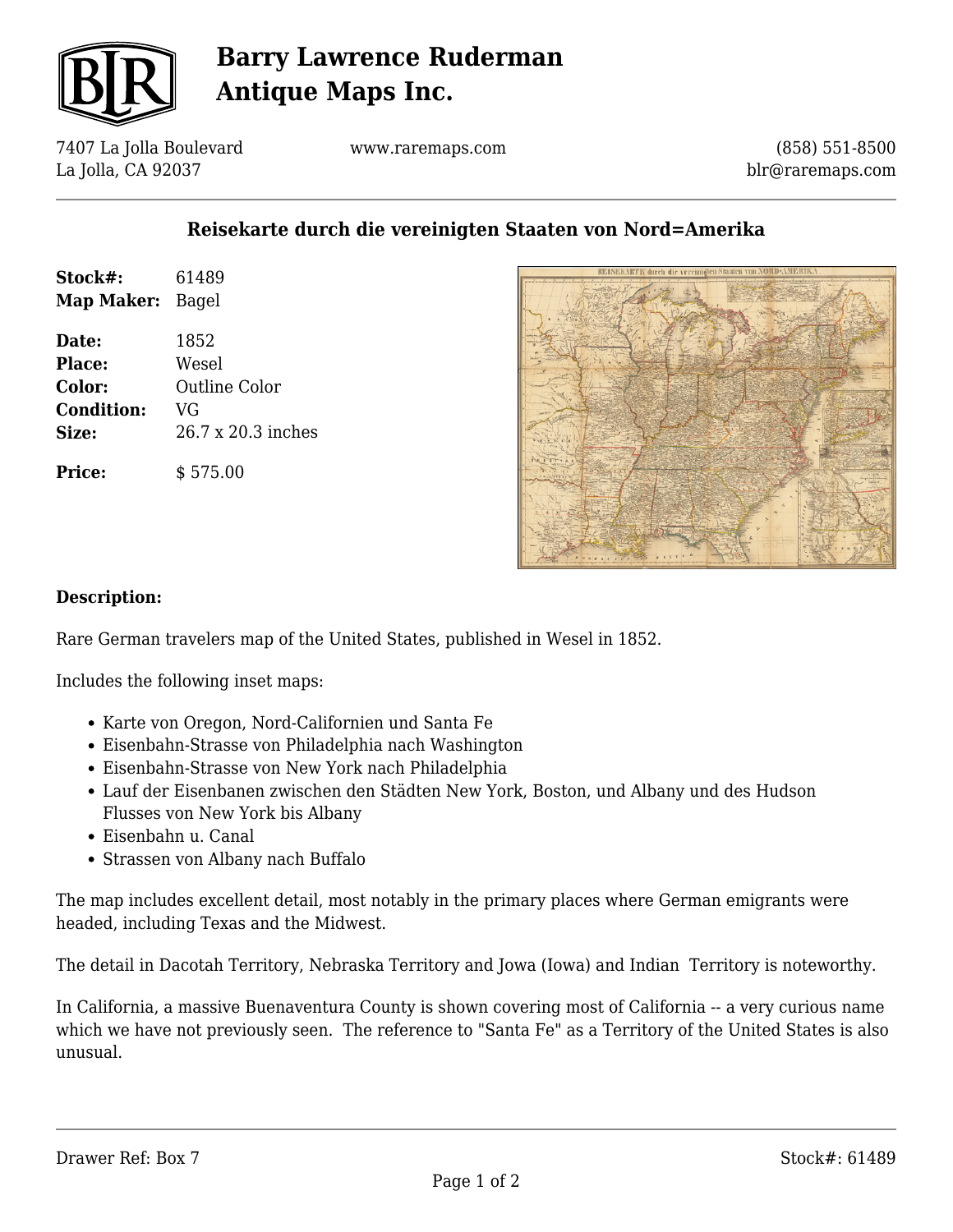

# **Barry Lawrence Ruderman Antique Maps Inc.**

7407 La Jolla Boulevard La Jolla, CA 92037

www.raremaps.com

(858) 551-8500 blr@raremaps.com

### **Reisekarte durch die vereinigten Staaten von Nord=Amerika**

| Stock#:<br>Map Maker: | 61489<br>Bagel     |
|-----------------------|--------------------|
| Date:                 | 1852               |
| Place:                | Wesel              |
| Color:                | Outline Color      |
| <b>Condition:</b>     | VG                 |
| Size:                 | 26.7 x 20.3 inches |
| <b>Price:</b>         | \$575.00           |



#### **Description:**

Rare German travelers map of the United States, published in Wesel in 1852.

Includes the following inset maps:

- Karte von Oregon, Nord-Californien und Santa Fe
- Eisenbahn-Strasse von Philadelphia nach Washington
- Eisenbahn-Strasse von New York nach Philadelphia
- Lauf der Eisenbanen zwischen den Städten New York, Boston, und Albany und des Hudson Flusses von New York bis Albany
- Eisenbahn u. Canal
- Strassen von Albany nach Buffalo

The map includes excellent detail, most notably in the primary places where German emigrants were headed, including Texas and the Midwest.

The detail in Dacotah Territory, Nebraska Territory and Jowa (Iowa) and Indian Territory is noteworthy.

In California, a massive Buenaventura County is shown covering most of California -- a very curious name which we have not previously seen. The reference to "Santa Fe" as a Territory of the United States is also unusual.